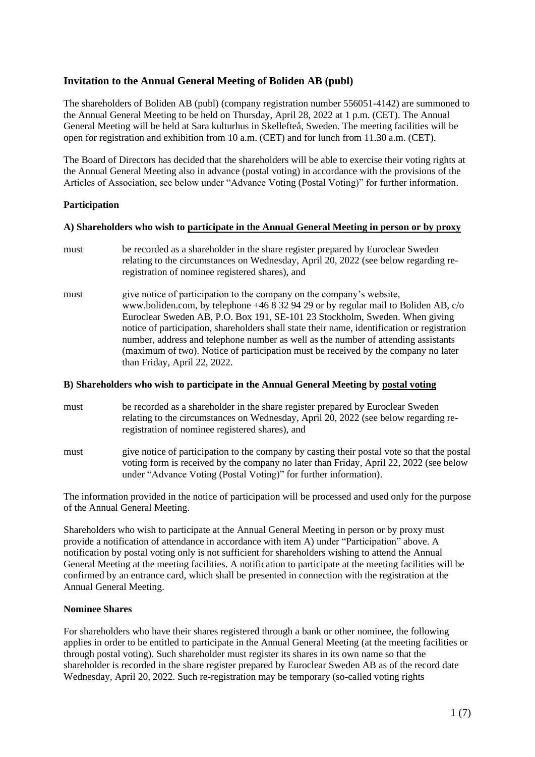# **Invitation to the Annual General Meeting of Boliden AB (publ)**

The shareholders of Boliden AB (publ) (company registration number 556051-4142) are summoned to the Annual General Meeting to be held on Thursday, April 28, 2022 at 1 p.m. (CET). The Annual General Meeting will be held at Sara kulturhus in Skellefteå, Sweden. The meeting facilities will be open for registration and exhibition from 10 a.m. (CET) and for lunch from 11.30 a.m. (CET).

The Board of Directors has decided that the shareholders will be able to exercise their voting rights at the Annual General Meeting also in advance (postal voting) in accordance with the provisions of the Articles of Association, see below under "Advance Voting (Postal Voting)" for further information.

#### **Participation**

#### **A) Shareholders who wish to participate in the Annual General Meeting in person or by proxy**

- must be recorded as a shareholder in the share register prepared by Euroclear Sweden relating to the circumstances on Wednesday, April 20, 2022 (see below regarding reregistration of nominee registered shares), and
- must give notice of participation to the company on the company's website, www.boliden.com, by telephone +46 8 32 94 29 or by regular mail to Boliden AB, c/o Euroclear Sweden AB, P.O. Box 191, SE-101 23 Stockholm, Sweden. When giving notice of participation, shareholders shall state their name, identification or registration number, address and telephone number as well as the number of attending assistants (maximum of two). Notice of participation must be received by the company no later than Friday, April 22, 2022.

## **B) Shareholders who wish to participate in the Annual General Meeting by postal voting**

- must be recorded as a shareholder in the share register prepared by Euroclear Sweden relating to the circumstances on Wednesday, April 20, 2022 (see below regarding reregistration of nominee registered shares), and
- must give notice of participation to the company by casting their postal vote so that the postal voting form is received by the company no later than Friday, April 22, 2022 (see below under "Advance Voting (Postal Voting)" for further information).

The information provided in the notice of participation will be processed and used only for the purpose of the Annual General Meeting.

Shareholders who wish to participate at the Annual General Meeting in person or by proxy must provide a notification of attendance in accordance with item A) under "Participation" above. A notification by postal voting only is not sufficient for shareholders wishing to attend the Annual General Meeting at the meeting facilities. A notification to participate at the meeting facilities will be confirmed by an entrance card, which shall be presented in connection with the registration at the Annual General Meeting.

#### **Nominee Shares**

For shareholders who have their shares registered through a bank or other nominee, the following applies in order to be entitled to participate in the Annual General Meeting (at the meeting facilities or through postal voting). Such shareholder must register its shares in its own name so that the shareholder is recorded in the share register prepared by Euroclear Sweden AB as of the record date Wednesday, April 20, 2022. Such re-registration may be temporary (so-called voting rights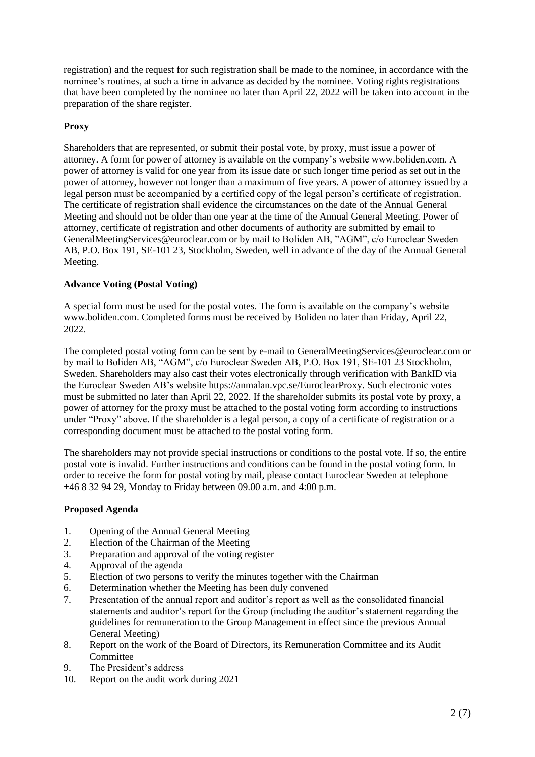registration) and the request for such registration shall be made to the nominee, in accordance with the nominee's routines, at such a time in advance as decided by the nominee. Voting rights registrations that have been completed by the nominee no later than April 22, 2022 will be taken into account in the preparation of the share register.

# **Proxy**

Shareholders that are represented, or submit their postal vote, by proxy, must issue a power of attorney. A form for power of attorney is available on the company's website www.boliden.com. A power of attorney is valid for one year from its issue date or such longer time period as set out in the power of attorney, however not longer than a maximum of five years. A power of attorney issued by a legal person must be accompanied by a certified copy of the legal person's certificate of registration. The certificate of registration shall evidence the circumstances on the date of the Annual General Meeting and should not be older than one year at the time of the Annual General Meeting. Power of attorney, certificate of registration and other documents of authority are submitted by email to GeneralMeetingServices@euroclear.com or by mail to Boliden AB, "AGM", c/o Euroclear Sweden AB, P.O. Box 191, SE-101 23, Stockholm, Sweden, well in advance of the day of the Annual General Meeting.

## **Advance Voting (Postal Voting)**

A special form must be used for the postal votes. The form is available on the company's website www.boliden.com. Completed forms must be received by Boliden no later than Friday, April 22, 2022.

The completed postal voting form can be sent by e-mail to GeneralMeetingServices@euroclear.com or by mail to Boliden AB, "AGM", c/o Euroclear Sweden AB, P.O. Box 191, SE-101 23 Stockholm, Sweden. Shareholders may also cast their votes electronically through verification with BankID via the Euroclear Sweden AB's website https://anmalan.vpc.se/EuroclearProxy. Such electronic votes must be submitted no later than April 22, 2022. If the shareholder submits its postal vote by proxy, a power of attorney for the proxy must be attached to the postal voting form according to instructions under "Proxy" above. If the shareholder is a legal person, a copy of a certificate of registration or a corresponding document must be attached to the postal voting form.

The shareholders may not provide special instructions or conditions to the postal vote. If so, the entire postal vote is invalid. Further instructions and conditions can be found in the postal voting form. In order to receive the form for postal voting by mail, please contact Euroclear Sweden at telephone +46 8 32 94 29, Monday to Friday between 09.00 a.m. and 4:00 p.m.

## **Proposed Agenda**

- 1. Opening of the Annual General Meeting
- 2. Election of the Chairman of the Meeting
- 3. Preparation and approval of the voting register
- 4. Approval of the agenda
- 5. Election of two persons to verify the minutes together with the Chairman
- 6. Determination whether the Meeting has been duly convened
- 7. Presentation of the annual report and auditor's report as well as the consolidated financial statements and auditor's report for the Group (including the auditor's statement regarding the guidelines for remuneration to the Group Management in effect since the previous Annual General Meeting)
- 8. Report on the work of the Board of Directors, its Remuneration Committee and its Audit **Committee**
- 9. The President's address
- 10. Report on the audit work during 2021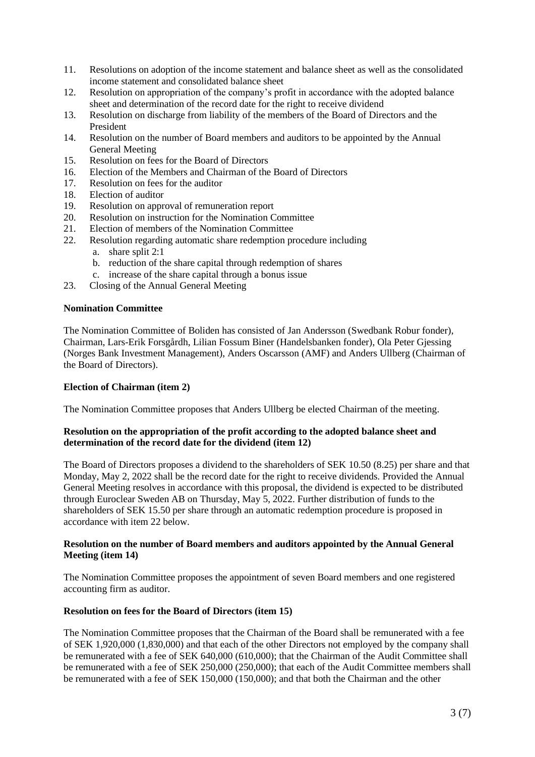- 11. Resolutions on adoption of the income statement and balance sheet as well as the consolidated income statement and consolidated balance sheet
- 12. Resolution on appropriation of the company's profit in accordance with the adopted balance sheet and determination of the record date for the right to receive dividend
- 13. Resolution on discharge from liability of the members of the Board of Directors and the President
- 14. Resolution on the number of Board members and auditors to be appointed by the Annual General Meeting
- 15. Resolution on fees for the Board of Directors
- 16. Election of the Members and Chairman of the Board of Directors
- 17. Resolution on fees for the auditor
- 18. Election of auditor
- 19. Resolution on approval of remuneration report
- 20. Resolution on instruction for the Nomination Committee
- 21. Election of members of the Nomination Committee
- 22. Resolution regarding automatic share redemption procedure including
	- a. share split 2:1
	- b. reduction of the share capital through redemption of shares
	- c. increase of the share capital through a bonus issue
- 23. Closing of the Annual General Meeting

## **Nomination Committee**

The Nomination Committee of Boliden has consisted of Jan Andersson (Swedbank Robur fonder), Chairman, Lars-Erik Forsgårdh, Lilian Fossum Biner (Handelsbanken fonder), Ola Peter Gjessing (Norges Bank Investment Management), Anders Oscarsson (AMF) and Anders Ullberg (Chairman of the Board of Directors).

#### **Election of Chairman (item 2)**

The Nomination Committee proposes that Anders Ullberg be elected Chairman of the meeting.

## **Resolution on the appropriation of the profit according to the adopted balance sheet and determination of the record date for the dividend (item 12)**

The Board of Directors proposes a dividend to the shareholders of SEK 10.50 (8.25) per share and that Monday, May 2, 2022 shall be the record date for the right to receive dividends. Provided the Annual General Meeting resolves in accordance with this proposal, the dividend is expected to be distributed through Euroclear Sweden AB on Thursday, May 5, 2022. Further distribution of funds to the shareholders of SEK 15.50 per share through an automatic redemption procedure is proposed in accordance with item 22 below.

#### **Resolution on the number of Board members and auditors appointed by the Annual General Meeting (item 14)**

The Nomination Committee proposes the appointment of seven Board members and one registered accounting firm as auditor.

#### **Resolution on fees for the Board of Directors (item 15)**

The Nomination Committee proposes that the Chairman of the Board shall be remunerated with a fee of SEK 1,920,000 (1,830,000) and that each of the other Directors not employed by the company shall be remunerated with a fee of SEK 640,000 (610,000); that the Chairman of the Audit Committee shall be remunerated with a fee of SEK 250,000 (250,000); that each of the Audit Committee members shall be remunerated with a fee of SEK 150,000 (150,000); and that both the Chairman and the other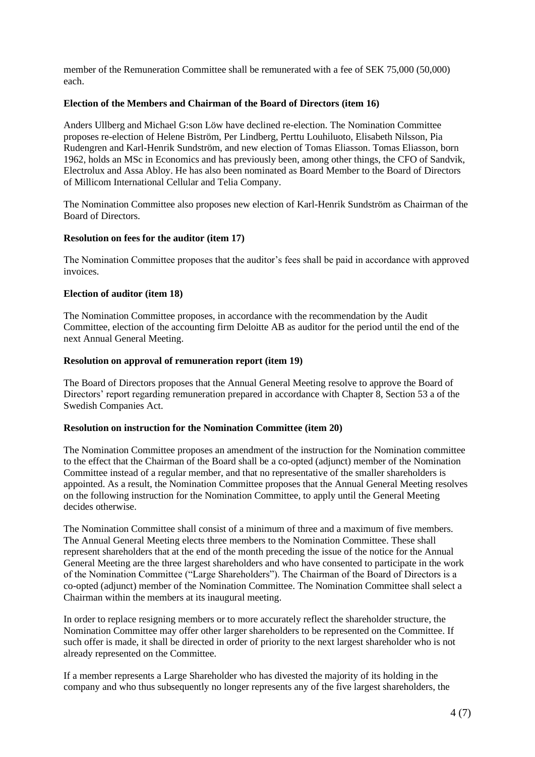member of the Remuneration Committee shall be remunerated with a fee of SEK 75,000 (50,000) each.

## **Election of the Members and Chairman of the Board of Directors (item 16)**

Anders Ullberg and Michael G:son Löw have declined re-election. The Nomination Committee proposes re-election of Helene Biström, Per Lindberg, Perttu Louhiluoto, Elisabeth Nilsson, Pia Rudengren and Karl-Henrik Sundström, and new election of Tomas Eliasson. Tomas Eliasson, born 1962, holds an MSc in Economics and has previously been, among other things, the CFO of Sandvik, Electrolux and Assa Abloy. He has also been nominated as Board Member to the Board of Directors of Millicom International Cellular and Telia Company.

The Nomination Committee also proposes new election of Karl-Henrik Sundström as Chairman of the Board of Directors.

## **Resolution on fees for the auditor (item 17)**

The Nomination Committee proposes that the auditor's fees shall be paid in accordance with approved invoices.

#### **Election of auditor (item 18)**

The Nomination Committee proposes, in accordance with the recommendation by the Audit Committee, election of the accounting firm Deloitte AB as auditor for the period until the end of the next Annual General Meeting.

#### **Resolution on approval of remuneration report (item 19)**

The Board of Directors proposes that the Annual General Meeting resolve to approve the Board of Directors' report regarding remuneration prepared in accordance with Chapter 8, Section 53 a of the Swedish Companies Act.

#### **Resolution on instruction for the Nomination Committee (item 20)**

The Nomination Committee proposes an amendment of the instruction for the Nomination committee to the effect that the Chairman of the Board shall be a co-opted (adjunct) member of the Nomination Committee instead of a regular member, and that no representative of the smaller shareholders is appointed. As a result, the Nomination Committee proposes that the Annual General Meeting resolves on the following instruction for the Nomination Committee, to apply until the General Meeting decides otherwise.

The Nomination Committee shall consist of a minimum of three and a maximum of five members. The Annual General Meeting elects three members to the Nomination Committee. These shall represent shareholders that at the end of the month preceding the issue of the notice for the Annual General Meeting are the three largest shareholders and who have consented to participate in the work of the Nomination Committee ("Large Shareholders"). The Chairman of the Board of Directors is a co-opted (adjunct) member of the Nomination Committee. The Nomination Committee shall select a Chairman within the members at its inaugural meeting.

In order to replace resigning members or to more accurately reflect the shareholder structure, the Nomination Committee may offer other larger shareholders to be represented on the Committee. If such offer is made, it shall be directed in order of priority to the next largest shareholder who is not already represented on the Committee.

If a member represents a Large Shareholder who has divested the majority of its holding in the company and who thus subsequently no longer represents any of the five largest shareholders, the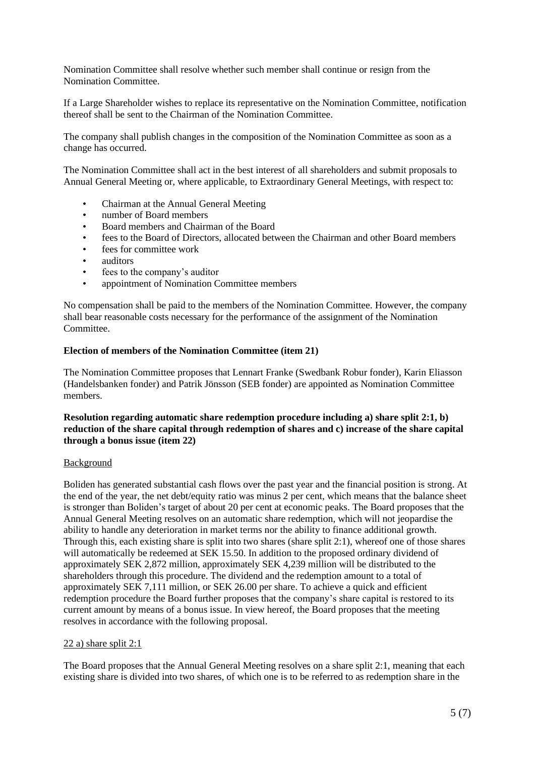Nomination Committee shall resolve whether such member shall continue or resign from the Nomination Committee.

If a Large Shareholder wishes to replace its representative on the Nomination Committee, notification thereof shall be sent to the Chairman of the Nomination Committee.

The company shall publish changes in the composition of the Nomination Committee as soon as a change has occurred.

The Nomination Committee shall act in the best interest of all shareholders and submit proposals to Annual General Meeting or, where applicable, to Extraordinary General Meetings, with respect to:

- Chairman at the Annual General Meeting
- number of Board members
- Board members and Chairman of the Board
- fees to the Board of Directors, allocated between the Chairman and other Board members
- fees for committee work
- auditors
- fees to the company's auditor
- appointment of Nomination Committee members

No compensation shall be paid to the members of the Nomination Committee. However, the company shall bear reasonable costs necessary for the performance of the assignment of the Nomination Committee.

#### **Election of members of the Nomination Committee (item 21)**

The Nomination Committee proposes that Lennart Franke (Swedbank Robur fonder), Karin Eliasson (Handelsbanken fonder) and Patrik Jönsson (SEB fonder) are appointed as Nomination Committee members.

### **Resolution regarding automatic share redemption procedure including a) share split 2:1, b) reduction of the share capital through redemption of shares and c) increase of the share capital through a bonus issue (item 22)**

#### Background

Boliden has generated substantial cash flows over the past year and the financial position is strong. At the end of the year, the net debt/equity ratio was minus 2 per cent, which means that the balance sheet is stronger than Boliden's target of about 20 per cent at economic peaks. The Board proposes that the Annual General Meeting resolves on an automatic share redemption, which will not jeopardise the ability to handle any deterioration in market terms nor the ability to finance additional growth. Through this, each existing share is split into two shares (share split 2:1), whereof one of those shares will automatically be redeemed at SEK 15.50. In addition to the proposed ordinary dividend of approximately SEK 2,872 million, approximately SEK 4,239 million will be distributed to the shareholders through this procedure. The dividend and the redemption amount to a total of approximately SEK 7,111 million, or SEK 26.00 per share. To achieve a quick and efficient redemption procedure the Board further proposes that the company's share capital is restored to its current amount by means of a bonus issue. In view hereof, the Board proposes that the meeting resolves in accordance with the following proposal.

#### 22 a) share split 2:1

The Board proposes that the Annual General Meeting resolves on a share split 2:1, meaning that each existing share is divided into two shares, of which one is to be referred to as redemption share in the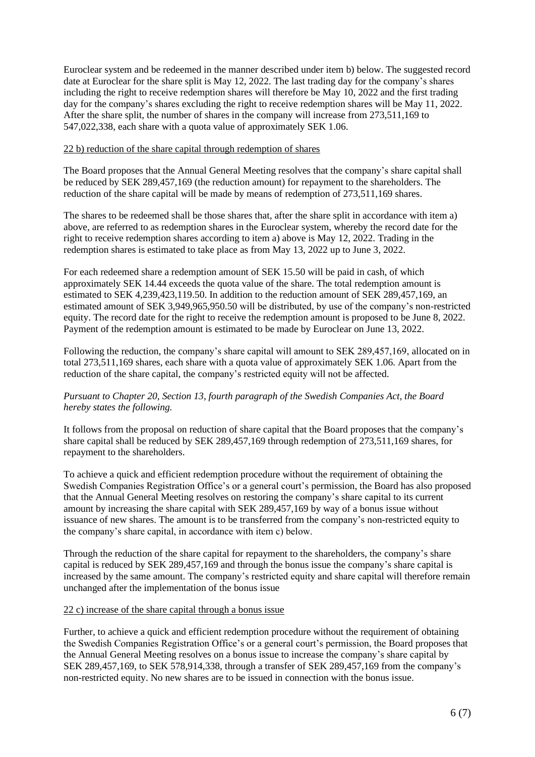Euroclear system and be redeemed in the manner described under item b) below. The suggested record date at Euroclear for the share split is May 12, 2022. The last trading day for the company's shares including the right to receive redemption shares will therefore be May 10, 2022 and the first trading day for the company's shares excluding the right to receive redemption shares will be May 11, 2022. After the share split, the number of shares in the company will increase from 273,511,169 to 547,022,338, each share with a quota value of approximately SEK 1.06.

#### 22 b) reduction of the share capital through redemption of shares

The Board proposes that the Annual General Meeting resolves that the company's share capital shall be reduced by SEK 289,457,169 (the reduction amount) for repayment to the shareholders. The reduction of the share capital will be made by means of redemption of 273,511,169 shares.

The shares to be redeemed shall be those shares that, after the share split in accordance with item a) above, are referred to as redemption shares in the Euroclear system, whereby the record date for the right to receive redemption shares according to item a) above is May 12, 2022. Trading in the redemption shares is estimated to take place as from May 13, 2022 up to June 3, 2022.

For each redeemed share a redemption amount of SEK 15.50 will be paid in cash, of which approximately SEK 14.44 exceeds the quota value of the share. The total redemption amount is estimated to SEK 4,239,423,119.50. In addition to the reduction amount of SEK 289,457,169, an estimated amount of SEK 3,949,965,950.50 will be distributed, by use of the company's non-restricted equity. The record date for the right to receive the redemption amount is proposed to be June 8, 2022. Payment of the redemption amount is estimated to be made by Euroclear on June 13, 2022.

Following the reduction, the company's share capital will amount to SEK 289,457,169, allocated on in total 273,511,169 shares, each share with a quota value of approximately SEK 1.06. Apart from the reduction of the share capital, the company's restricted equity will not be affected.

## *Pursuant to Chapter 20, Section 13, fourth paragraph of the Swedish Companies Act, the Board hereby states the following.*

It follows from the proposal on reduction of share capital that the Board proposes that the company's share capital shall be reduced by SEK 289,457,169 through redemption of 273,511,169 shares, for repayment to the shareholders.

To achieve a quick and efficient redemption procedure without the requirement of obtaining the Swedish Companies Registration Office's or a general court's permission, the Board has also proposed that the Annual General Meeting resolves on restoring the company's share capital to its current amount by increasing the share capital with SEK 289,457,169 by way of a bonus issue without issuance of new shares. The amount is to be transferred from the company's non-restricted equity to the company's share capital, in accordance with item c) below.

Through the reduction of the share capital for repayment to the shareholders, the company's share capital is reduced by SEK 289,457,169 and through the bonus issue the company's share capital is increased by the same amount. The company's restricted equity and share capital will therefore remain unchanged after the implementation of the bonus issue

#### 22 c) increase of the share capital through a bonus issue

Further, to achieve a quick and efficient redemption procedure without the requirement of obtaining the Swedish Companies Registration Office's or a general court's permission, the Board proposes that the Annual General Meeting resolves on a bonus issue to increase the company's share capital by SEK 289,457,169, to SEK 578,914,338, through a transfer of SEK 289,457,169 from the company's non-restricted equity. No new shares are to be issued in connection with the bonus issue.